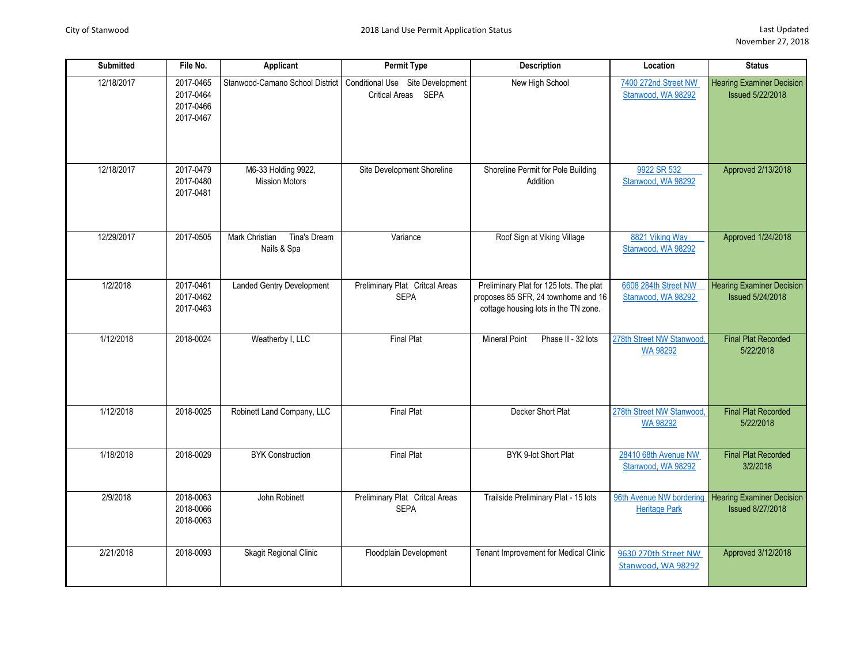| <b>Submitted</b> | File No.                                         | Applicant                                     | Permit Type                                                                               | Description                                                                                                            | Location                                         | <b>Status</b>                                               |
|------------------|--------------------------------------------------|-----------------------------------------------|-------------------------------------------------------------------------------------------|------------------------------------------------------------------------------------------------------------------------|--------------------------------------------------|-------------------------------------------------------------|
| 12/18/2017       | 2017-0465<br>2017-0464<br>2017-0466<br>2017-0467 |                                               | Stanwood-Camano School District   Conditional Use Site Development<br>Critical Areas SEPA | New High School                                                                                                        | 7400 272nd Street NW<br>Stanwood, WA 98292       | <b>Hearing Examiner Decision</b><br><b>Issued 5/22/2018</b> |
| 12/18/2017       | 2017-0479<br>2017-0480<br>2017-0481              | M6-33 Holding 9922,<br><b>Mission Motors</b>  | Site Development Shoreline                                                                | Shoreline Permit for Pole Building<br>Addition                                                                         | 9922 SR 532<br>Stanwood, WA 98292                | Approved 2/13/2018                                          |
| 12/29/2017       | 2017-0505                                        | Tina's Dream<br>Mark Christian<br>Nails & Spa | Variance                                                                                  | Roof Sign at Viking Village                                                                                            | 8821 Viking Way<br>Stanwood, WA 98292            | Approved 1/24/2018                                          |
| 1/2/2018         | 2017-0461<br>2017-0462<br>2017-0463              | <b>Landed Gentry Development</b>              | Preliminary Plat Critcal Areas<br><b>SEPA</b>                                             | Preliminary Plat for 125 lots. The plat<br>proposes 85 SFR, 24 townhome and 16<br>cottage housing lots in the TN zone. | 6608 284th Street NW<br>Stanwood, WA 98292       | <b>Hearing Examiner Decision</b><br><b>Issued 5/24/2018</b> |
| 1/12/2018        | 2018-0024                                        | Weatherby I, LLC                              | <b>Final Plat</b>                                                                         | <b>Mineral Point</b><br>Phase II - 32 lots                                                                             | 278th Street NW Stanwood,<br>WA 98292            | <b>Final Plat Recorded</b><br>5/22/2018                     |
| 1/12/2018        | 2018-0025                                        | Robinett Land Company, LLC                    | <b>Final Plat</b>                                                                         | Decker Short Plat                                                                                                      | 278th Street NW Stanwood,<br>WA 98292            | <b>Final Plat Recorded</b><br>5/22/2018                     |
| 1/18/2018        | 2018-0029                                        | <b>BYK Construction</b>                       | <b>Final Plat</b>                                                                         | BYK 9-lot Short Plat                                                                                                   | 28410 68th Avenue NW<br>Stanwood, WA 98292       | <b>Final Plat Recorded</b><br>3/2/2018                      |
| 2/9/2018         | 2018-0063<br>2018-0066<br>2018-0063              | John Robinett                                 | Preliminary Plat Critcal Areas<br><b>SEPA</b>                                             | Trailside Preliminary Plat - 15 lots                                                                                   | 96th Avenue NW bordering<br><b>Heritage Park</b> | <b>Hearing Examiner Decision</b><br><b>Issued 8/27/2018</b> |
| 2/21/2018        | 2018-0093                                        | Skagit Regional Clinic                        | Floodplain Development                                                                    | Tenant Improvement for Medical Clinic                                                                                  | 9630 270th Street NW<br>Stanwood, WA 98292       | Approved 3/12/2018                                          |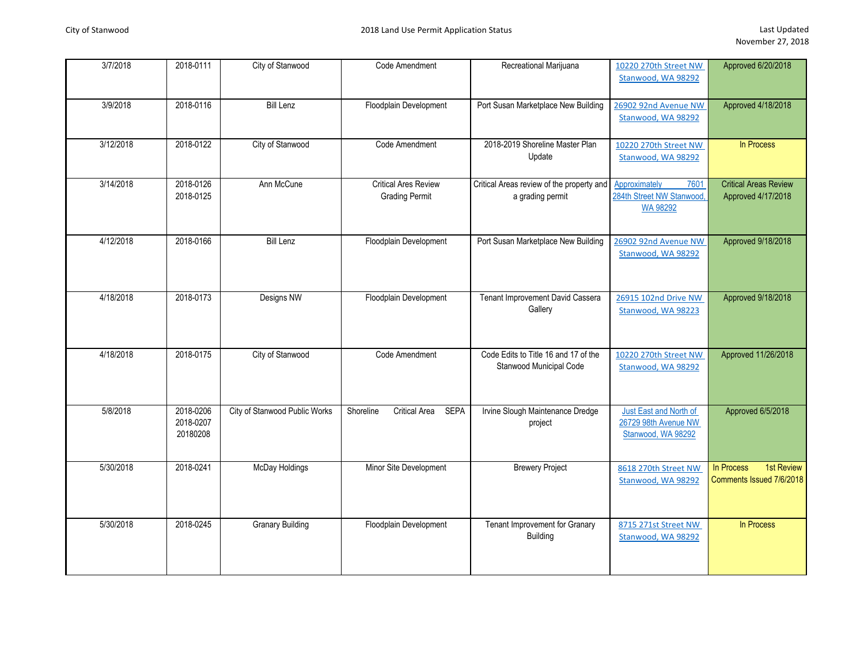| 3/7/2018  | 2018-0111                          | City of Stanwood              | Code Amendment                                       | Recreational Marijuana                                          | 10220 270th Street NW<br>Stanwood, WA 98292                           | Approved 6/20/2018                                   |
|-----------|------------------------------------|-------------------------------|------------------------------------------------------|-----------------------------------------------------------------|-----------------------------------------------------------------------|------------------------------------------------------|
| 3/9/2018  | 2018-0116                          | <b>Bill Lenz</b>              | Floodplain Development                               | Port Susan Marketplace New Building                             | 26902 92nd Avenue NW<br>Stanwood, WA 98292                            | Approved 4/18/2018                                   |
| 3/12/2018 | 2018-0122                          | City of Stanwood              | Code Amendment                                       | 2018-2019 Shoreline Master Plan<br>Update                       | 10220 270th Street NW<br>Stanwood, WA 98292                           | In Process                                           |
| 3/14/2018 | 2018-0126<br>2018-0125             | Ann McCune                    | <b>Critical Ares Review</b><br><b>Grading Permit</b> | Critical Areas review of the property and<br>a grading permit   | Approximately<br>7601<br>284th Street NW Stanwood,<br><b>WA 98292</b> | <b>Critical Areas Review</b><br>Approved 4/17/2018   |
| 4/12/2018 | 2018-0166                          | <b>Bill Lenz</b>              | Floodplain Development                               | Port Susan Marketplace New Building                             | 26902 92nd Avenue NW<br>Stanwood, WA 98292                            | Approved 9/18/2018                                   |
| 4/18/2018 | 2018-0173                          | Designs NW                    | Floodplain Development                               | Tenant Improvement David Cassera<br>Gallery                     | 26915 102nd Drive NW<br>Stanwood, WA 98223                            | Approved 9/18/2018                                   |
| 4/18/2018 | 2018-0175                          | City of Stanwood              | Code Amendment                                       | Code Edits to Title 16 and 17 of the<br>Stanwood Municipal Code | 10220 270th Street NW<br>Stanwood, WA 98292                           | Approved 11/26/2018                                  |
| 5/8/2018  | 2018-0206<br>2018-0207<br>20180208 | City of Stanwood Public Works | <b>SEPA</b><br><b>Critical Area</b><br>Shoreline     | Irvine Slough Maintenance Dredge<br>project                     | Just East and North of<br>26729 98th Avenue NW<br>Stanwood, WA 98292  | Approved 6/5/2018                                    |
| 5/30/2018 | 2018-0241                          | <b>McDay Holdings</b>         | Minor Site Development                               | <b>Brewery Project</b>                                          | 8618 270th Street NW<br>Stanwood, WA 98292                            | 1st Review<br>In Process<br>Comments Issued 7/6/2018 |
| 5/30/2018 | 2018-0245                          | <b>Granary Building</b>       | Floodplain Development                               | Tenant Improvement for Granary<br><b>Building</b>               | 8715 271st Street NW<br>Stanwood, WA 98292                            | In Process                                           |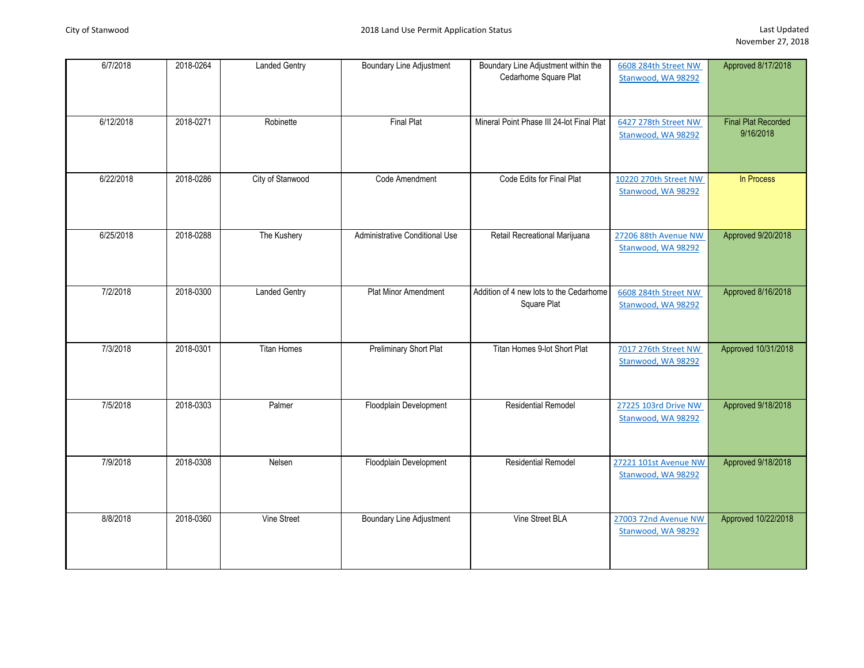| 6/7/2018  | 2018-0264 | <b>Landed Gentry</b> | <b>Boundary Line Adjustment</b> | Boundary Line Adjustment within the<br>Cedarhome Square Plat | 6608 284th Street NW<br>Stanwood, WA 98292  | Approved 8/17/2018                      |
|-----------|-----------|----------------------|---------------------------------|--------------------------------------------------------------|---------------------------------------------|-----------------------------------------|
| 6/12/2018 | 2018-0271 | Robinette            | <b>Final Plat</b>               | Mineral Point Phase III 24-lot Final Plat                    | 6427 278th Street NW<br>Stanwood, WA 98292  | <b>Final Plat Recorded</b><br>9/16/2018 |
| 6/22/2018 | 2018-0286 | City of Stanwood     | Code Amendment                  | Code Edits for Final Plat                                    | 10220 270th Street NW<br>Stanwood, WA 98292 | In Process                              |
| 6/25/2018 | 2018-0288 | The Kushery          | Administrative Conditional Use  | Retail Recreational Marijuana                                | 27206 88th Avenue NW<br>Stanwood, WA 98292  | Approved 9/20/2018                      |
| 7/2/2018  | 2018-0300 | <b>Landed Gentry</b> | Plat Minor Amendment            | Addition of 4 new lots to the Cedarhome<br>Square Plat       | 6608 284th Street NW<br>Stanwood, WA 98292  | Approved 8/16/2018                      |
| 7/3/2018  | 2018-0301 | <b>Titan Homes</b>   | Preliminary Short Plat          | Titan Homes 9-lot Short Plat                                 | 7017 276th Street NW<br>Stanwood, WA 98292  | Approved 10/31/2018                     |
| 7/5/2018  | 2018-0303 | Palmer               | Floodplain Development          | <b>Residential Remodel</b>                                   | 27225 103rd Drive NW<br>Stanwood, WA 98292  | Approved 9/18/2018                      |
| 7/9/2018  | 2018-0308 | Nelsen               | Floodplain Development          | Residential Remodel                                          | 27221 101st Avenue NW<br>Stanwood, WA 98292 | Approved 9/18/2018                      |
| 8/8/2018  | 2018-0360 | Vine Street          | <b>Boundary Line Adjustment</b> | Vine Street BLA                                              | 27003 72nd Avenue NW<br>Stanwood, WA 98292  | Approved 10/22/2018                     |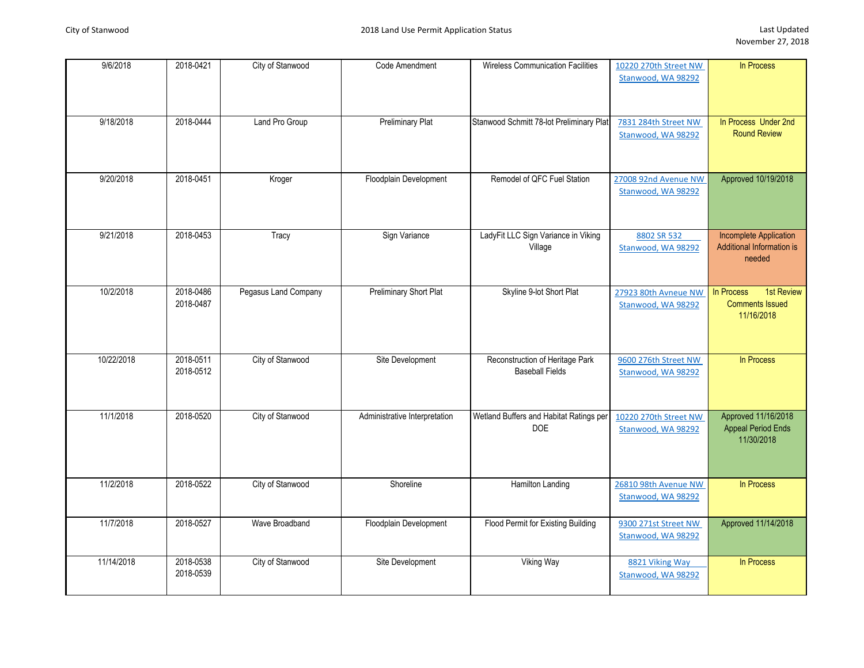| 9/6/2018   | 2018-0421              | City of Stanwood     | Code Amendment                | <b>Wireless Communication Facilities</b>                  | 10220 270th Street NW<br>Stanwood, WA 98292 | In Process                                                           |
|------------|------------------------|----------------------|-------------------------------|-----------------------------------------------------------|---------------------------------------------|----------------------------------------------------------------------|
| 9/18/2018  | 2018-0444              | Land Pro Group       | <b>Preliminary Plat</b>       | Stanwood Schmitt 78-lot Preliminary Plat                  | 7831 284th Street NW<br>Stanwood, WA 98292  | In Process Under 2nd<br><b>Round Review</b>                          |
| 9/20/2018  | 2018-0451              | Kroger               | Floodplain Development        | Remodel of QFC Fuel Station                               | 27008 92nd Avenue NW<br>Stanwood, WA 98292  | Approved 10/19/2018                                                  |
| 9/21/2018  | 2018-0453              | Tracy                | Sign Variance                 | LadyFit LLC Sign Variance in Viking<br>Village            | 8802 SR 532<br>Stanwood, WA 98292           | <b>Incomplete Application</b><br>Additional Information is<br>needed |
| 10/2/2018  | 2018-0486<br>2018-0487 | Pegasus Land Company | <b>Preliminary Short Plat</b> | Skyline 9-lot Short Plat                                  | 27923 80th Avneue NW<br>Stanwood, WA 98292  | 1st Review<br>In Process<br><b>Comments Issued</b><br>11/16/2018     |
| 10/22/2018 | 2018-0511<br>2018-0512 | City of Stanwood     | Site Development              | Reconstruction of Heritage Park<br><b>Baseball Fields</b> | 9600 276th Street NW<br>Stanwood, WA 98292  | In Process                                                           |
| 11/1/2018  | 2018-0520              | City of Stanwood     | Administrative Interpretation | Wetland Buffers and Habitat Ratings per<br><b>DOE</b>     | 10220 270th Street NW<br>Stanwood, WA 98292 | Approved 11/16/2018<br><b>Appeal Period Ends</b><br>11/30/2018       |
| 11/2/2018  | 2018-0522              | City of Stanwood     | Shoreline                     | <b>Hamilton Landing</b>                                   | 26810 98th Avenue NW<br>Stanwood, WA 98292  | In Process                                                           |
| 11/7/2018  | 2018-0527              | Wave Broadband       | Floodplain Development        | Flood Permit for Existing Building                        | 9300 271st Street NW<br>Stanwood, WA 98292  | Approved 11/14/2018                                                  |
| 11/14/2018 | 2018-0538<br>2018-0539 | City of Stanwood     | Site Development              | Viking Way                                                | 8821 Viking Way<br>Stanwood, WA 98292       | In Process                                                           |